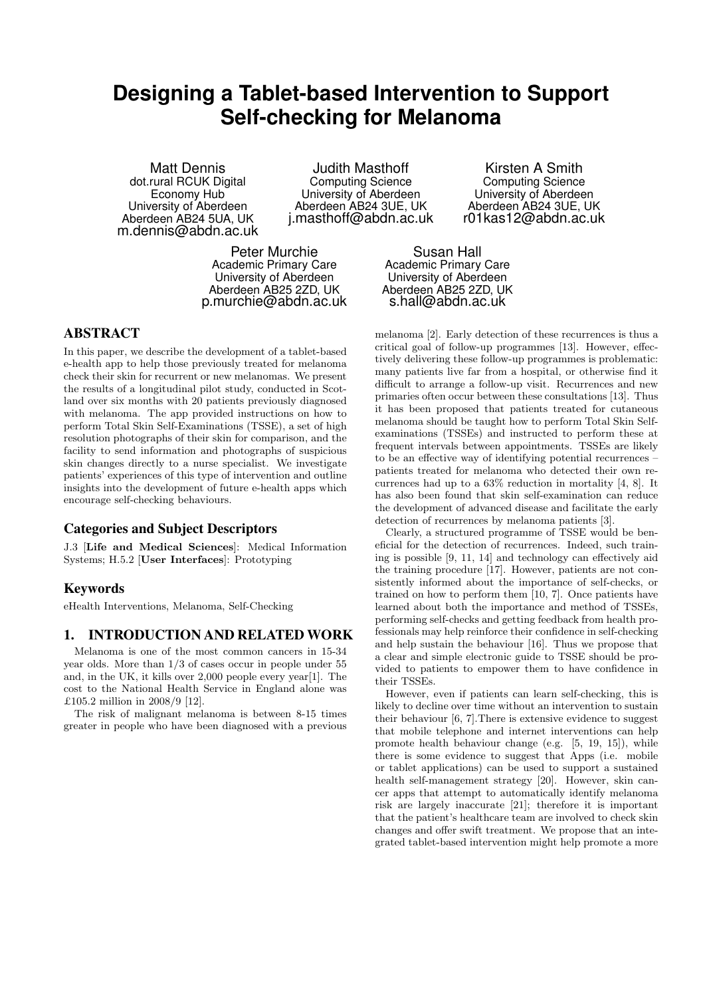# **Designing a Tablet-based Intervention to Support Self-checking for Melanoma**

Matt Dennis dot.rural RCUK Digital Economy Hub University of Aberdeen Aberdeen AB24 5UA, UK m.dennis@abdn.ac.uk

Judith Masthoff Computing Science University of Aberdeen Aberdeen AB24 3UE, UK j.masthoff@abdn.ac.uk

Peter Murchie Academic Primary Care University of Aberdeen Aberdeen AB25 2ZD, UK p.murchie@abdn.ac.uk

Kirsten A Smith Computing Science University of Aberdeen Aberdeen AB24 3UE, UK r01kas12@abdn.ac.uk

Susan Hall Academic Primary Care University of Aberdeen Aberdeen AB25 2ZD, UK s.hall@abdn.ac.uk

# ABSTRACT

In this paper, we describe the development of a tablet-based e-health app to help those previously treated for melanoma check their skin for recurrent or new melanomas. We present the results of a longitudinal pilot study, conducted in Scotland over six months with 20 patients previously diagnosed with melanoma. The app provided instructions on how to perform Total Skin Self-Examinations (TSSE), a set of high resolution photographs of their skin for comparison, and the facility to send information and photographs of suspicious skin changes directly to a nurse specialist. We investigate patients' experiences of this type of intervention and outline insights into the development of future e-health apps which encourage self-checking behaviours.

## Categories and Subject Descriptors

J.3 [Life and Medical Sciences]: Medical Information Systems; H.5.2 [User Interfaces]: Prototyping

## Keywords

eHealth Interventions, Melanoma, Self-Checking

## 1. INTRODUCTION AND RELATED WORK

Melanoma is one of the most common cancers in 15-34 year olds. More than 1/3 of cases occur in people under 55 and, in the UK, it kills over 2,000 people every year[\[1\]](#page-7-0). The cost to the National Health Service in England alone was £105.2 million in 2008/9 [\[12\]](#page-7-1).

The risk of malignant melanoma is between 8-15 times greater in people who have been diagnosed with a previous

melanoma [\[2\]](#page-7-2). Early detection of these recurrences is thus a critical goal of follow-up programmes [\[13\]](#page-7-3). However, effectively delivering these follow-up programmes is problematic: many patients live far from a hospital, or otherwise find it difficult to arrange a follow-up visit. Recurrences and new primaries often occur between these consultations [\[13\]](#page-7-3). Thus it has been proposed that patients treated for cutaneous melanoma should be taught how to perform Total Skin Selfexaminations (TSSEs) and instructed to perform these at frequent intervals between appointments. TSSEs are likely to be an effective way of identifying potential recurrences – patients treated for melanoma who detected their own recurrences had up to a 63% reduction in mortality [\[4,](#page-7-4) [8\]](#page-7-5). It has also been found that skin self-examination can reduce the development of advanced disease and facilitate the early detection of recurrences by melanoma patients [\[3\]](#page-7-6).

Clearly, a structured programme of TSSE would be beneficial for the detection of recurrences. Indeed, such training is possible [\[9,](#page-7-7) [11,](#page-7-8) [14\]](#page-7-9) and technology can effectively aid the training procedure [\[17\]](#page-7-10). However, patients are not consistently informed about the importance of self-checks, or trained on how to perform them [\[10,](#page-7-11) [7\]](#page-7-12). Once patients have learned about both the importance and method of TSSEs, performing self-checks and getting feedback from health professionals may help reinforce their confidence in self-checking and help sustain the behaviour [\[16\]](#page-7-13). Thus we propose that a clear and simple electronic guide to TSSE should be provided to patients to empower them to have confidence in their TSSEs.

However, even if patients can learn self-checking, this is likely to decline over time without an intervention to sustain their behaviour [\[6,](#page-7-14) [7\]](#page-7-12).There is extensive evidence to suggest that mobile telephone and internet interventions can help promote health behaviour change (e.g. [\[5,](#page-7-15) [19,](#page-7-16) [15\]](#page-7-17)), while there is some evidence to suggest that Apps (i.e. mobile or tablet applications) can be used to support a sustained health self-management strategy [\[20\]](#page-7-18). However, skin cancer apps that attempt to automatically identify melanoma risk are largely inaccurate [\[21\]](#page-7-19); therefore it is important that the patient's healthcare team are involved to check skin changes and offer swift treatment. We propose that an integrated tablet-based intervention might help promote a more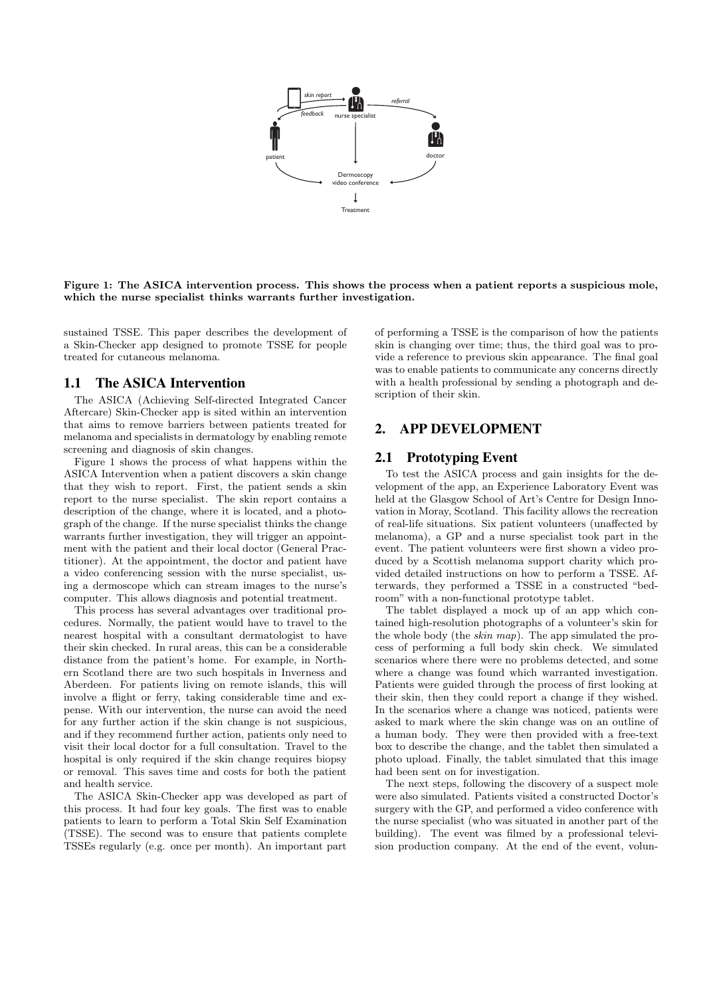

<span id="page-1-0"></span>Figure 1: The ASICA intervention process. This shows the process when a patient reports a suspicious mole, which the nurse specialist thinks warrants further investigation.

sustained TSSE. This paper describes the development of a Skin-Checker app designed to promote TSSE for people treated for cutaneous melanoma.

# 1.1 The ASICA Intervention

The ASICA (Achieving Self-directed Integrated Cancer Aftercare) Skin-Checker app is sited within an intervention that aims to remove barriers between patients treated for melanoma and specialists in dermatology by enabling remote screening and diagnosis of skin changes.

[Figure 1](#page-1-0) shows the process of what happens within the ASICA Intervention when a patient discovers a skin change that they wish to report. First, the patient sends a skin report to the nurse specialist. The skin report contains a description of the change, where it is located, and a photograph of the change. If the nurse specialist thinks the change warrants further investigation, they will trigger an appointment with the patient and their local doctor (General Practitioner). At the appointment, the doctor and patient have a video conferencing session with the nurse specialist, using a dermoscope which can stream images to the nurse's computer. This allows diagnosis and potential treatment.

This process has several advantages over traditional procedures. Normally, the patient would have to travel to the nearest hospital with a consultant dermatologist to have their skin checked. In rural areas, this can be a considerable distance from the patient's home. For example, in Northern Scotland there are two such hospitals in Inverness and Aberdeen. For patients living on remote islands, this will involve a flight or ferry, taking considerable time and expense. With our intervention, the nurse can avoid the need for any further action if the skin change is not suspicious, and if they recommend further action, patients only need to visit their local doctor for a full consultation. Travel to the hospital is only required if the skin change requires biopsy or removal. This saves time and costs for both the patient and health service.

The ASICA Skin-Checker app was developed as part of this process. It had four key goals. The first was to enable patients to learn to perform a Total Skin Self Examination (TSSE). The second was to ensure that patients complete TSSEs regularly (e.g. once per month). An important part of performing a TSSE is the comparison of how the patients skin is changing over time; thus, the third goal was to provide a reference to previous skin appearance. The final goal was to enable patients to communicate any concerns directly with a health professional by sending a photograph and description of their skin.

# 2. APP DEVELOPMENT

## 2.1 Prototyping Event

To test the ASICA process and gain insights for the development of the app, an Experience Laboratory Event was held at the Glasgow School of Art's Centre for Design Innovation in Moray, Scotland. This facility allows the recreation of real-life situations. Six patient volunteers (unaffected by melanoma), a GP and a nurse specialist took part in the event. The patient volunteers were first shown a video produced by a Scottish melanoma support charity which provided detailed instructions on how to perform a TSSE. Afterwards, they performed a TSSE in a constructed "bedroom" with a non-functional prototype tablet.

The tablet displayed a mock up of an app which contained high-resolution photographs of a volunteer's skin for the whole body (the skin map). The app simulated the process of performing a full body skin check. We simulated scenarios where there were no problems detected, and some where a change was found which warranted investigation. Patients were guided through the process of first looking at their skin, then they could report a change if they wished. In the scenarios where a change was noticed, patients were asked to mark where the skin change was on an outline of a human body. They were then provided with a free-text box to describe the change, and the tablet then simulated a photo upload. Finally, the tablet simulated that this image had been sent on for investigation.

The next steps, following the discovery of a suspect mole were also simulated. Patients visited a constructed Doctor's surgery with the GP, and performed a video conference with the nurse specialist (who was situated in another part of the building). The event was filmed by a professional television production company. At the end of the event, volun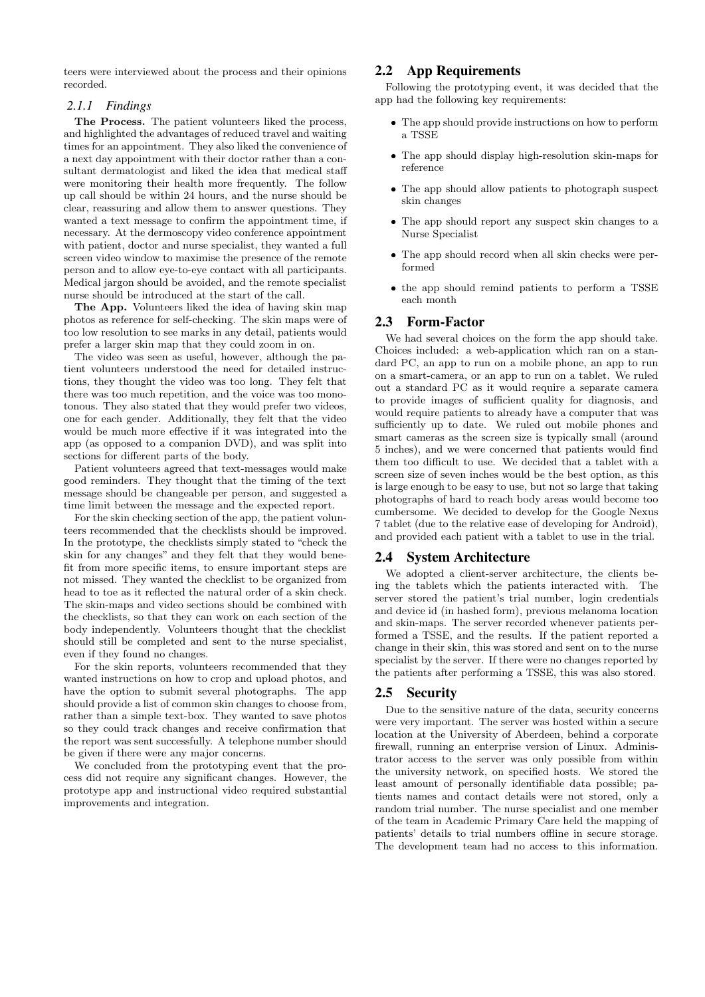teers were interviewed about the process and their opinions recorded.

#### *2.1.1 Findings*

The Process. The patient volunteers liked the process, and highlighted the advantages of reduced travel and waiting times for an appointment. They also liked the convenience of a next day appointment with their doctor rather than a consultant dermatologist and liked the idea that medical staff were monitoring their health more frequently. The follow up call should be within 24 hours, and the nurse should be clear, reassuring and allow them to answer questions. They wanted a text message to confirm the appointment time, if necessary. At the dermoscopy video conference appointment with patient, doctor and nurse specialist, they wanted a full screen video window to maximise the presence of the remote person and to allow eye-to-eye contact with all participants. Medical jargon should be avoided, and the remote specialist nurse should be introduced at the start of the call.

The App. Volunteers liked the idea of having skin map photos as reference for self-checking. The skin maps were of too low resolution to see marks in any detail, patients would prefer a larger skin map that they could zoom in on.

The video was seen as useful, however, although the patient volunteers understood the need for detailed instructions, they thought the video was too long. They felt that there was too much repetition, and the voice was too monotonous. They also stated that they would prefer two videos, one for each gender. Additionally, they felt that the video would be much more effective if it was integrated into the app (as opposed to a companion DVD), and was split into sections for different parts of the body.

Patient volunteers agreed that text-messages would make good reminders. They thought that the timing of the text message should be changeable per person, and suggested a time limit between the message and the expected report.

For the skin checking section of the app, the patient volunteers recommended that the checklists should be improved. In the prototype, the checklists simply stated to "check the skin for any changes" and they felt that they would benefit from more specific items, to ensure important steps are not missed. They wanted the checklist to be organized from head to toe as it reflected the natural order of a skin check. The skin-maps and video sections should be combined with the checklists, so that they can work on each section of the body independently. Volunteers thought that the checklist should still be completed and sent to the nurse specialist, even if they found no changes.

For the skin reports, volunteers recommended that they wanted instructions on how to crop and upload photos, and have the option to submit several photographs. The app should provide a list of common skin changes to choose from, rather than a simple text-box. They wanted to save photos so they could track changes and receive confirmation that the report was sent successfully. A telephone number should be given if there were any major concerns.

We concluded from the prototyping event that the process did not require any significant changes. However, the prototype app and instructional video required substantial improvements and integration.

## 2.2 App Requirements

Following the prototyping event, it was decided that the app had the following key requirements:

- The app should provide instructions on how to perform a TSSE
- The app should display high-resolution skin-maps for reference
- The app should allow patients to photograph suspect skin changes
- The app should report any suspect skin changes to a Nurse Specialist
- The app should record when all skin checks were performed
- the app should remind patients to perform a TSSE each month

## 2.3 Form-Factor

We had several choices on the form the app should take. Choices included: a web-application which ran on a standard PC, an app to run on a mobile phone, an app to run on a smart-camera, or an app to run on a tablet. We ruled out a standard PC as it would require a separate camera to provide images of sufficient quality for diagnosis, and would require patients to already have a computer that was sufficiently up to date. We ruled out mobile phones and smart cameras as the screen size is typically small (around 5 inches), and we were concerned that patients would find them too difficult to use. We decided that a tablet with a screen size of seven inches would be the best option, as this is large enough to be easy to use, but not so large that taking photographs of hard to reach body areas would become too cumbersome. We decided to develop for the Google Nexus 7 tablet (due to the relative ease of developing for Android), and provided each patient with a tablet to use in the trial.

#### 2.4 System Architecture

We adopted a client-server architecture, the clients being the tablets which the patients interacted with. The server stored the patient's trial number, login credentials and device id (in hashed form), previous melanoma location and skin-maps. The server recorded whenever patients performed a TSSE, and the results. If the patient reported a change in their skin, this was stored and sent on to the nurse specialist by the server. If there were no changes reported by the patients after performing a TSSE, this was also stored.

#### 2.5 Security

Due to the sensitive nature of the data, security concerns were very important. The server was hosted within a secure location at the University of Aberdeen, behind a corporate firewall, running an enterprise version of Linux. Administrator access to the server was only possible from within the university network, on specified hosts. We stored the least amount of personally identifiable data possible; patients names and contact details were not stored, only a random trial number. The nurse specialist and one member of the team in Academic Primary Care held the mapping of patients' details to trial numbers offline in secure storage. The development team had no access to this information.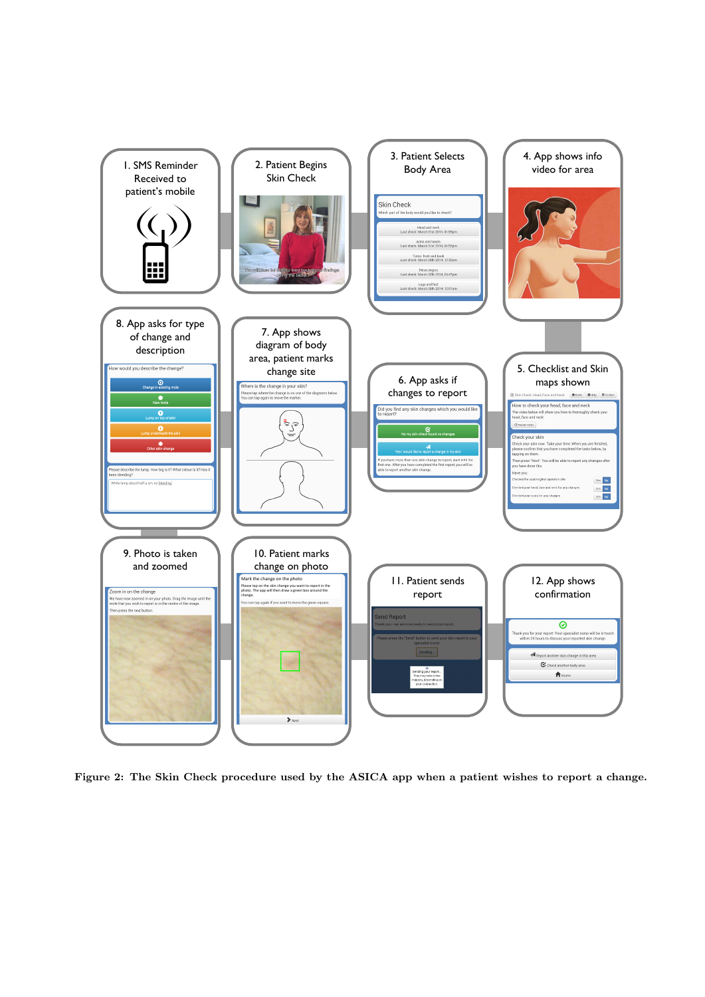

<span id="page-3-0"></span>Figure 2: The Skin Check procedure used by the ASICA app when a patient wishes to report a change.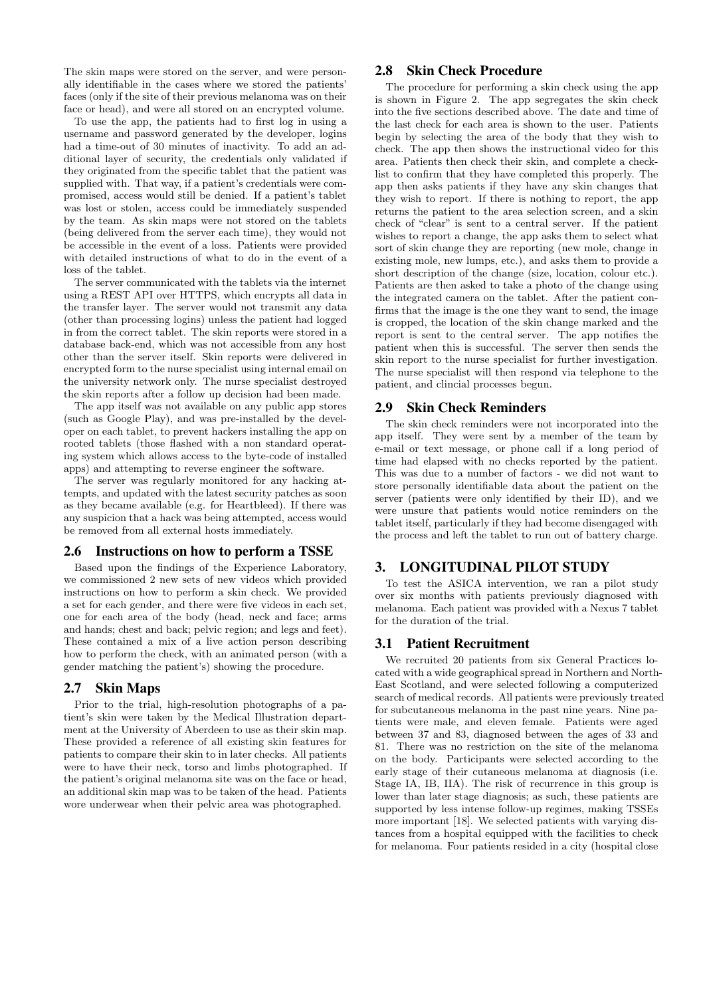The skin maps were stored on the server, and were personally identifiable in the cases where we stored the patients' faces (only if the site of their previous melanoma was on their face or head), and were all stored on an encrypted volume.

To use the app, the patients had to first log in using a username and password generated by the developer, logins had a time-out of 30 minutes of inactivity. To add an additional layer of security, the credentials only validated if they originated from the specific tablet that the patient was supplied with. That way, if a patient's credentials were compromised, access would still be denied. If a patient's tablet was lost or stolen, access could be immediately suspended by the team. As skin maps were not stored on the tablets (being delivered from the server each time), they would not be accessible in the event of a loss. Patients were provided with detailed instructions of what to do in the event of a loss of the tablet.

The server communicated with the tablets via the internet using a REST API over HTTPS, which encrypts all data in the transfer layer. The server would not transmit any data (other than processing logins) unless the patient had logged in from the correct tablet. The skin reports were stored in a database back-end, which was not accessible from any host other than the server itself. Skin reports were delivered in encrypted form to the nurse specialist using internal email on the university network only. The nurse specialist destroyed the skin reports after a follow up decision had been made.

The app itself was not available on any public app stores (such as Google Play), and was pre-installed by the developer on each tablet, to prevent hackers installing the app on rooted tablets (those flashed with a non standard operating system which allows access to the byte-code of installed apps) and attempting to reverse engineer the software.

The server was regularly monitored for any hacking attempts, and updated with the latest security patches as soon as they became available (e.g. for Heartbleed). If there was any suspicion that a hack was being attempted, access would be removed from all external hosts immediately.

## 2.6 Instructions on how to perform a TSSE

Based upon the findings of the Experience Laboratory, we commissioned 2 new sets of new videos which provided instructions on how to perform a skin check. We provided a set for each gender, and there were five videos in each set, one for each area of the body (head, neck and face; arms and hands; chest and back; pelvic region; and legs and feet). These contained a mix of a live action person describing how to perform the check, with an animated person (with a gender matching the patient's) showing the procedure.

## 2.7 Skin Maps

Prior to the trial, high-resolution photographs of a patient's skin were taken by the Medical Illustration department at the University of Aberdeen to use as their skin map. These provided a reference of all existing skin features for patients to compare their skin to in later checks. All patients were to have their neck, torso and limbs photographed. If the patient's original melanoma site was on the face or head, an additional skin map was to be taken of the head. Patients wore underwear when their pelvic area was photographed.

## 2.8 Skin Check Procedure

The procedure for performing a skin check using the app is shown in [Figure 2.](#page-3-0) The app segregates the skin check into the five sections described above. The date and time of the last check for each area is shown to the user. Patients begin by selecting the area of the body that they wish to check. The app then shows the instructional video for this area. Patients then check their skin, and complete a checklist to confirm that they have completed this properly. The app then asks patients if they have any skin changes that they wish to report. If there is nothing to report, the app returns the patient to the area selection screen, and a skin check of "clear" is sent to a central server. If the patient wishes to report a change, the app asks them to select what sort of skin change they are reporting (new mole, change in existing mole, new lumps, etc.), and asks them to provide a short description of the change (size, location, colour etc.). Patients are then asked to take a photo of the change using the integrated camera on the tablet. After the patient confirms that the image is the one they want to send, the image is cropped, the location of the skin change marked and the report is sent to the central server. The app notifies the patient when this is successful. The server then sends the skin report to the nurse specialist for further investigation. The nurse specialist will then respond via telephone to the patient, and clincial processes begun.

#### 2.9 Skin Check Reminders

The skin check reminders were not incorporated into the app itself. They were sent by a member of the team by e-mail or text message, or phone call if a long period of time had elapsed with no checks reported by the patient. This was due to a number of factors - we did not want to store personally identifiable data about the patient on the server (patients were only identified by their ID), and we were unsure that patients would notice reminders on the tablet itself, particularly if they had become disengaged with the process and left the tablet to run out of battery charge.

#### 3. LONGITUDINAL PILOT STUDY

To test the ASICA intervention, we ran a pilot study over six months with patients previously diagnosed with melanoma. Each patient was provided with a Nexus 7 tablet for the duration of the trial.

#### 3.1 Patient Recruitment

We recruited 20 patients from six General Practices located with a wide geographical spread in Northern and North-East Scotland, and were selected following a computerized search of medical records. All patients were previously treated for subcutaneous melanoma in the past nine years. Nine patients were male, and eleven female. Patients were aged between 37 and 83, diagnosed between the ages of 33 and 81. There was no restriction on the site of the melanoma on the body. Participants were selected according to the early stage of their cutaneous melanoma at diagnosis (i.e. Stage IA, IB, IIA). The risk of recurrence in this group is lower than later stage diagnosis; as such, these patients are supported by less intense follow-up regimes, making TSSEs more important [\[18\]](#page-7-20). We selected patients with varying distances from a hospital equipped with the facilities to check for melanoma. Four patients resided in a city (hospital close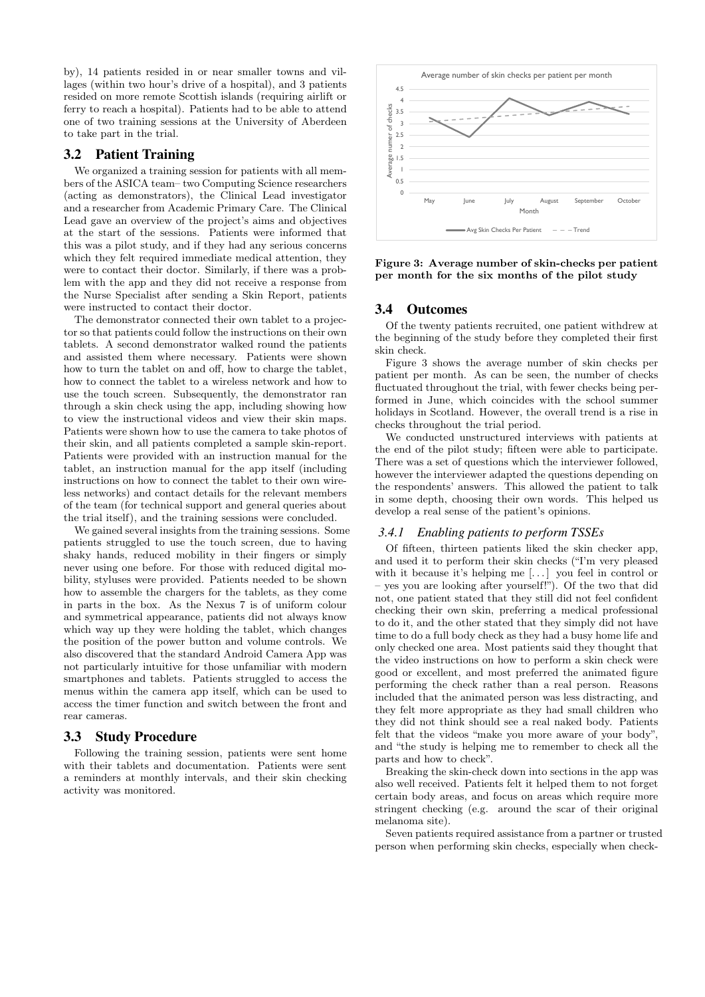by), 14 patients resided in or near smaller towns and villages (within two hour's drive of a hospital), and 3 patients resided on more remote Scottish islands (requiring airlift or ferry to reach a hospital). Patients had to be able to attend one of two training sessions at the University of Aberdeen to take part in the trial.

## 3.2 Patient Training

We organized a training session for patients with all members of the ASICA team– two Computing Science researchers (acting as demonstrators), the Clinical Lead investigator and a researcher from Academic Primary Care. The Clinical Lead gave an overview of the project's aims and objectives at the start of the sessions. Patients were informed that this was a pilot study, and if they had any serious concerns which they felt required immediate medical attention, they were to contact their doctor. Similarly, if there was a problem with the app and they did not receive a response from the Nurse Specialist after sending a Skin Report, patients were instructed to contact their doctor.

The demonstrator connected their own tablet to a projector so that patients could follow the instructions on their own tablets. A second demonstrator walked round the patients and assisted them where necessary. Patients were shown how to turn the tablet on and off, how to charge the tablet, how to connect the tablet to a wireless network and how to use the touch screen. Subsequently, the demonstrator ran through a skin check using the app, including showing how to view the instructional videos and view their skin maps. Patients were shown how to use the camera to take photos of their skin, and all patients completed a sample skin-report. Patients were provided with an instruction manual for the tablet, an instruction manual for the app itself (including instructions on how to connect the tablet to their own wireless networks) and contact details for the relevant members of the team (for technical support and general queries about the trial itself), and the training sessions were concluded.

We gained several insights from the training sessions. Some patients struggled to use the touch screen, due to having shaky hands, reduced mobility in their fingers or simply never using one before. For those with reduced digital mobility, styluses were provided. Patients needed to be shown how to assemble the chargers for the tablets, as they come in parts in the box. As the Nexus 7 is of uniform colour and symmetrical appearance, patients did not always know which way up they were holding the tablet, which changes the position of the power button and volume controls. We also discovered that the standard Android Camera App was not particularly intuitive for those unfamiliar with modern smartphones and tablets. Patients struggled to access the menus within the camera app itself, which can be used to access the timer function and switch between the front and rear cameras.

#### 3.3 Study Procedure

Following the training session, patients were sent home with their tablets and documentation. Patients were sent a reminders at monthly intervals, and their skin checking activity was monitored.



<span id="page-5-0"></span>Figure 3: Average number of skin-checks per patient per month for the six months of the pilot study

## 3.4 Outcomes

Of the twenty patients recruited, one patient withdrew at the beginning of the study before they completed their first skin check.

[Figure 3](#page-5-0) shows the average number of skin checks per patient per month. As can be seen, the number of checks fluctuated throughout the trial, with fewer checks being performed in June, which coincides with the school summer holidays in Scotland. However, the overall trend is a rise in checks throughout the trial period.

We conducted unstructured interviews with patients at the end of the pilot study; fifteen were able to participate. There was a set of questions which the interviewer followed, however the interviewer adapted the questions depending on the respondents' answers. This allowed the patient to talk in some depth, choosing their own words. This helped us develop a real sense of the patient's opinions.

#### *3.4.1 Enabling patients to perform TSSEs*

Of fifteen, thirteen patients liked the skin checker app, and used it to perform their skin checks ("I'm very pleased with it because it's helping me [...] you feel in control or – yes you are looking after yourself!"). Of the two that did not, one patient stated that they still did not feel confident checking their own skin, preferring a medical professional to do it, and the other stated that they simply did not have time to do a full body check as they had a busy home life and only checked one area. Most patients said they thought that the video instructions on how to perform a skin check were good or excellent, and most preferred the animated figure performing the check rather than a real person. Reasons included that the animated person was less distracting, and they felt more appropriate as they had small children who they did not think should see a real naked body. Patients felt that the videos "make you more aware of your body", and "the study is helping me to remember to check all the parts and how to check".

Breaking the skin-check down into sections in the app was also well received. Patients felt it helped them to not forget certain body areas, and focus on areas which require more stringent checking (e.g. around the scar of their original melanoma site).

Seven patients required assistance from a partner or trusted person when performing skin checks, especially when check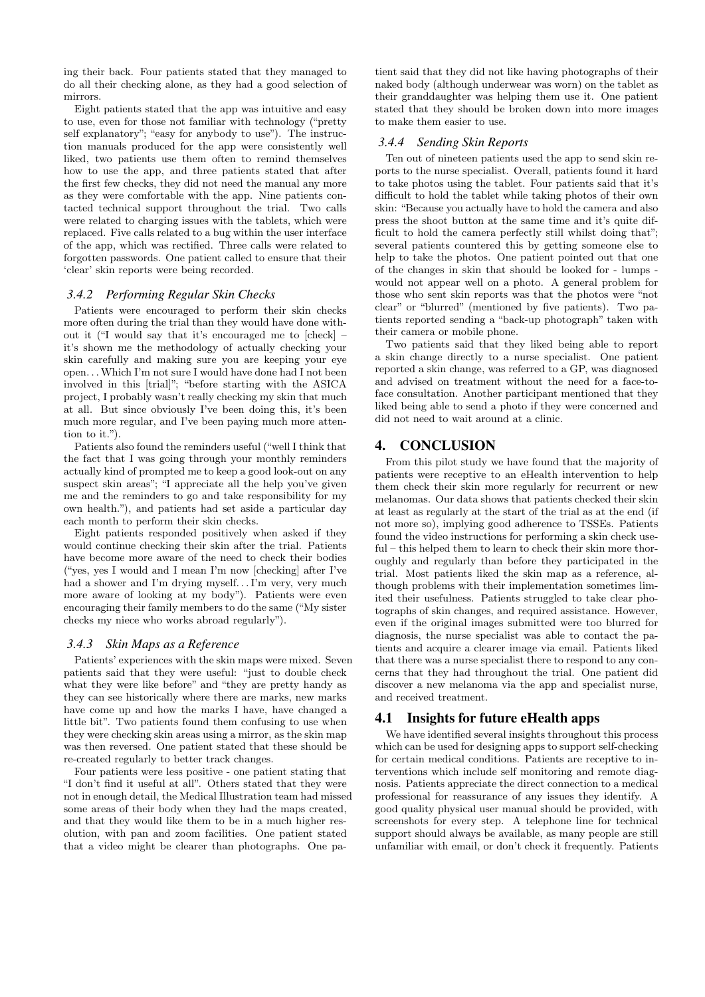ing their back. Four patients stated that they managed to do all their checking alone, as they had a good selection of mirrors.

Eight patients stated that the app was intuitive and easy to use, even for those not familiar with technology ("pretty self explanatory"; "easy for anybody to use"). The instruction manuals produced for the app were consistently well liked, two patients use them often to remind themselves how to use the app, and three patients stated that after the first few checks, they did not need the manual any more as they were comfortable with the app. Nine patients contacted technical support throughout the trial. Two calls were related to charging issues with the tablets, which were replaced. Five calls related to a bug within the user interface of the app, which was rectified. Three calls were related to forgotten passwords. One patient called to ensure that their 'clear' skin reports were being recorded.

#### *3.4.2 Performing Regular Skin Checks*

Patients were encouraged to perform their skin checks more often during the trial than they would have done without it ("I would say that it's encouraged me to [check] – it's shown me the methodology of actually checking your skin carefully and making sure you are keeping your eye open. . .Which I'm not sure I would have done had I not been involved in this [trial]"; "before starting with the ASICA project, I probably wasn't really checking my skin that much at all. But since obviously I've been doing this, it's been much more regular, and I've been paying much more attention to it.").

Patients also found the reminders useful ("well I think that the fact that I was going through your monthly reminders actually kind of prompted me to keep a good look-out on any suspect skin areas"; "I appreciate all the help you've given me and the reminders to go and take responsibility for my own health."), and patients had set aside a particular day each month to perform their skin checks.

Eight patients responded positively when asked if they would continue checking their skin after the trial. Patients have become more aware of the need to check their bodies ("yes, yes I would and I mean I'm now [checking] after I've had a shower and I'm drying myself. . . I'm very, very much more aware of looking at my body"). Patients were even encouraging their family members to do the same ("My sister checks my niece who works abroad regularly").

#### *3.4.3 Skin Maps as a Reference*

Patients' experiences with the skin maps were mixed. Seven patients said that they were useful: "just to double check what they were like before" and "they are pretty handy as they can see historically where there are marks, new marks have come up and how the marks I have, have changed a little bit". Two patients found them confusing to use when they were checking skin areas using a mirror, as the skin map was then reversed. One patient stated that these should be re-created regularly to better track changes.

Four patients were less positive - one patient stating that "I don't find it useful at all". Others stated that they were not in enough detail, the Medical Illustration team had missed some areas of their body when they had the maps created, and that they would like them to be in a much higher resolution, with pan and zoom facilities. One patient stated that a video might be clearer than photographs. One pa-

tient said that they did not like having photographs of their naked body (although underwear was worn) on the tablet as their granddaughter was helping them use it. One patient stated that they should be broken down into more images to make them easier to use.

#### *3.4.4 Sending Skin Reports*

Ten out of nineteen patients used the app to send skin reports to the nurse specialist. Overall, patients found it hard to take photos using the tablet. Four patients said that it's difficult to hold the tablet while taking photos of their own skin: "Because you actually have to hold the camera and also press the shoot button at the same time and it's quite difficult to hold the camera perfectly still whilst doing that"; several patients countered this by getting someone else to help to take the photos. One patient pointed out that one of the changes in skin that should be looked for - lumps would not appear well on a photo. A general problem for those who sent skin reports was that the photos were "not clear" or "blurred" (mentioned by five patients). Two patients reported sending a "back-up photograph" taken with their camera or mobile phone.

Two patients said that they liked being able to report a skin change directly to a nurse specialist. One patient reported a skin change, was referred to a GP, was diagnosed and advised on treatment without the need for a face-toface consultation. Another participant mentioned that they liked being able to send a photo if they were concerned and did not need to wait around at a clinic.

## 4. CONCLUSION

From this pilot study we have found that the majority of patients were receptive to an eHealth intervention to help them check their skin more regularly for recurrent or new melanomas. Our data shows that patients checked their skin at least as regularly at the start of the trial as at the end (if not more so), implying good adherence to TSSEs. Patients found the video instructions for performing a skin check useful – this helped them to learn to check their skin more thoroughly and regularly than before they participated in the trial. Most patients liked the skin map as a reference, although problems with their implementation sometimes limited their usefulness. Patients struggled to take clear photographs of skin changes, and required assistance. However, even if the original images submitted were too blurred for diagnosis, the nurse specialist was able to contact the patients and acquire a clearer image via email. Patients liked that there was a nurse specialist there to respond to any concerns that they had throughout the trial. One patient did discover a new melanoma via the app and specialist nurse, and received treatment.

## 4.1 Insights for future eHealth apps

We have identified several insights throughout this process which can be used for designing apps to support self-checking for certain medical conditions. Patients are receptive to interventions which include self monitoring and remote diagnosis. Patients appreciate the direct connection to a medical professional for reassurance of any issues they identify. A good quality physical user manual should be provided, with screenshots for every step. A telephone line for technical support should always be available, as many people are still unfamiliar with email, or don't check it frequently. Patients